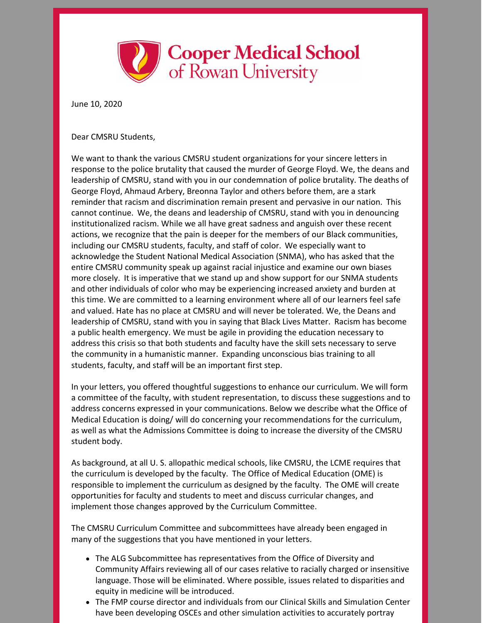

June 10, 2020

Dear CMSRU Students,

We want to thank the various CMSRU student organizations for your sincere letters in response to the police brutality that caused the murder of George Floyd. We, the deans and leadership of CMSRU, stand with you in our condemnation of police brutality. The deaths of George Floyd, Ahmaud Arbery, Breonna Taylor and others before them, are a stark reminder that racism and discrimination remain present and pervasive in our nation. This cannot continue. We, the deans and leadership of CMSRU, stand with you in denouncing institutionalized racism. While we all have great sadness and anguish over these recent actions, we recognize that the pain is deeper for the members of our Black communities, including our CMSRU students, faculty, and staff of color. We especially want to acknowledge the Student National Medical Association (SNMA), who has asked that the entire CMSRU community speak up against racial injustice and examine our own biases more closely. It is imperative that we stand up and show support for our SNMA students and other individuals of color who may be experiencing increased anxiety and burden at this time. We are committed to a learning environment where all of our learners feel safe and valued. Hate has no place at CMSRU and will never be tolerated. We, the Deans and leadership of CMSRU, stand with you in saying that Black Lives Matter. Racism has become a public health emergency. We must be agile in providing the education necessary to address this crisis so that both students and faculty have the skill sets necessary to serve the community in a humanistic manner. Expanding unconscious bias training to all students, faculty, and staff will be an important first step.

In your letters, you offered thoughtful suggestions to enhance our curriculum. We will form a committee of the faculty, with student representation, to discuss these suggestions and to address concerns expressed in your communications. Below we describe what the Office of Medical Education is doing/ will do concerning your recommendations for the curriculum, as well as what the Admissions Committee is doing to increase the diversity of the CMSRU student body.

As background, at all U. S. allopathic medical schools, like CMSRU, the LCME requires that the curriculum is developed by the faculty. The Office of Medical Education (OME) is responsible to implement the curriculum as designed by the faculty. The OME will create opportunities for faculty and students to meet and discuss curricular changes, and implement those changes approved by the Curriculum Committee.

The CMSRU Curriculum Committee and subcommittees have already been engaged in many of the suggestions that you have mentioned in your letters.

- The ALG Subcommittee has representatives from the Office of Diversity and Community Affairs reviewing all of our cases relative to racially charged or insensitive language. Those will be eliminated. Where possible, issues related to disparities and equity in medicine will be introduced.
- The FMP course director and individuals from our Clinical Skills and Simulation Center have been developing OSCEs and other simulation activities to accurately portray